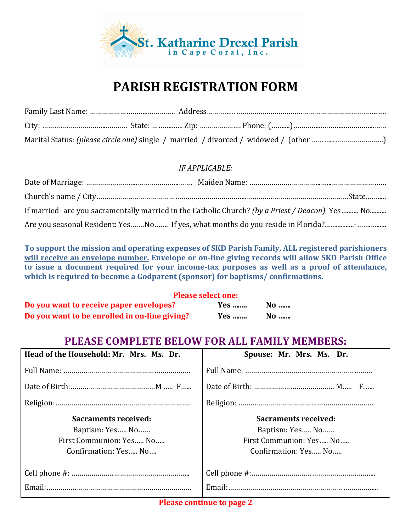

## **PARISH REGISTRATION FORM**

## *IF APPLICABLE:*

| If married- are you sacramentally married in the Catholic Church? (by a Priest / Deacon) Yes No |
|-------------------------------------------------------------------------------------------------|
|                                                                                                 |

To support the mission and operating expenses of SKD Parish Family, ALL registered parishioners will receive an envelope number. Envelope or on-line giving records will allow SKD Parish Office **to** issue a document required for your income-tax purposes as well as a proof of attendance, **which is required to become a Godparent (sponsor) for baptisms/ confirmations.** 

|                                               | <b>Please select one:</b> |      |  |
|-----------------------------------------------|---------------------------|------|--|
| Do you want to receive paper envelopes?       | Yes                       | $No$ |  |
| Do you want to be enrolled in on-line giving? | Yes                       | No   |  |

## **PLEASE COMPLETE BELOW FOR ALL FAMILY MEMBERS:**

| Head of the Household: Mr. Mrs. Ms. Dr. | Spouse: Mr. Mrs. Ms. Dr.    |
|-----------------------------------------|-----------------------------|
|                                         |                             |
|                                         |                             |
|                                         |                             |
| Sacraments received:                    | <b>Sacraments received:</b> |
| Baptism: Yes No                         | Baptism: Yes No             |
| First Communion: Yes No                 | First Communion: Yes No     |
| Confirmation: Yes No                    | Confirmation: Yes No        |
|                                         |                             |
|                                         |                             |
| Email:                                  |                             |

**Please continue to page 2**